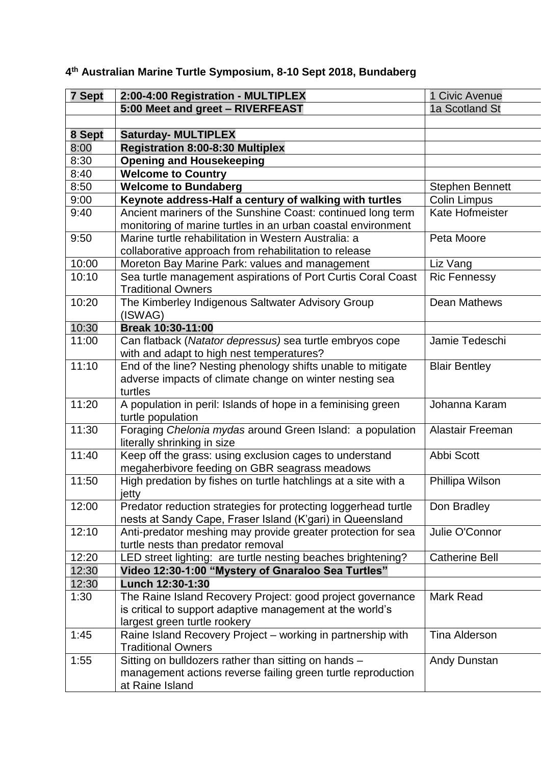| <b>7 Sept</b> | 2:00-4:00 Registration - MULTIPLEX                                                                                                                      | 1 Civic Avenue         |
|---------------|---------------------------------------------------------------------------------------------------------------------------------------------------------|------------------------|
|               | 5:00 Meet and greet - RIVERFEAST                                                                                                                        | 1a Scotland St         |
|               |                                                                                                                                                         |                        |
| 8 Sept        | <b>Saturday- MULTIPLEX</b>                                                                                                                              |                        |
| 8:00          | <b>Registration 8:00-8:30 Multiplex</b>                                                                                                                 |                        |
| 8:30          | <b>Opening and Housekeeping</b>                                                                                                                         |                        |
| 8:40          | <b>Welcome to Country</b>                                                                                                                               |                        |
| 8:50          | <b>Welcome to Bundaberg</b>                                                                                                                             | <b>Stephen Bennett</b> |
| 9:00          | Keynote address-Half a century of walking with turtles                                                                                                  | <b>Colin Limpus</b>    |
| 9:40          | Ancient mariners of the Sunshine Coast: continued long term                                                                                             | Kate Hofmeister        |
|               | monitoring of marine turtles in an urban coastal environment                                                                                            |                        |
| 9:50          | Marine turtle rehabilitation in Western Australia: a                                                                                                    | Peta Moore             |
|               | collaborative approach from rehabilitation to release                                                                                                   |                        |
| 10:00         | Moreton Bay Marine Park: values and management                                                                                                          | Liz Vang               |
| 10:10         | Sea turtle management aspirations of Port Curtis Coral Coast<br><b>Traditional Owners</b>                                                               | <b>Ric Fennessy</b>    |
| 10:20         | The Kimberley Indigenous Saltwater Advisory Group<br>(ISWAG)                                                                                            | Dean Mathews           |
| 10:30         | Break 10:30-11:00                                                                                                                                       |                        |
| 11:00         | Can flatback (Natator depressus) sea turtle embryos cope<br>with and adapt to high nest temperatures?                                                   | Jamie Tedeschi         |
| 11:10         | End of the line? Nesting phenology shifts unable to mitigate<br>adverse impacts of climate change on winter nesting sea<br>turtles                      | <b>Blair Bentley</b>   |
| 11:20         | A population in peril: Islands of hope in a feminising green<br>turtle population                                                                       | Johanna Karam          |
| 11:30         | Foraging Chelonia mydas around Green Island: a population<br>literally shrinking in size                                                                | Alastair Freeman       |
| 11:40         | Keep off the grass: using exclusion cages to understand<br>megaherbivore feeding on GBR seagrass meadows                                                | Abbi Scott             |
| 11:50         | High predation by fishes on turtle hatchlings at a site with a<br>jetty                                                                                 | Phillipa Wilson        |
| 12:00         | Predator reduction strategies for protecting loggerhead turtle<br>nests at Sandy Cape, Fraser Island (K'gari) in Queensland                             | Don Bradley            |
| 12:10         | Anti-predator meshing may provide greater protection for sea<br>turtle nests than predator removal                                                      | Julie O'Connor         |
| 12:20         | LED street lighting: are turtle nesting beaches brightening?                                                                                            | <b>Catherine Bell</b>  |
| 12:30         | Video 12:30-1:00 "Mystery of Gnaraloo Sea Turtles"                                                                                                      |                        |
| 12:30         | Lunch 12:30-1:30                                                                                                                                        |                        |
| 1:30          | The Raine Island Recovery Project: good project governance<br>is critical to support adaptive management at the world's<br>largest green turtle rookery | <b>Mark Read</b>       |
| 1:45          | Raine Island Recovery Project - working in partnership with<br><b>Traditional Owners</b>                                                                | <b>Tina Alderson</b>   |
| 1:55          | Sitting on bulldozers rather than sitting on hands -<br>management actions reverse failing green turtle reproduction<br>at Raine Island                 | Andy Dunstan           |

## **4 th Australian Marine Turtle Symposium, 8-10 Sept 2018, Bundaberg**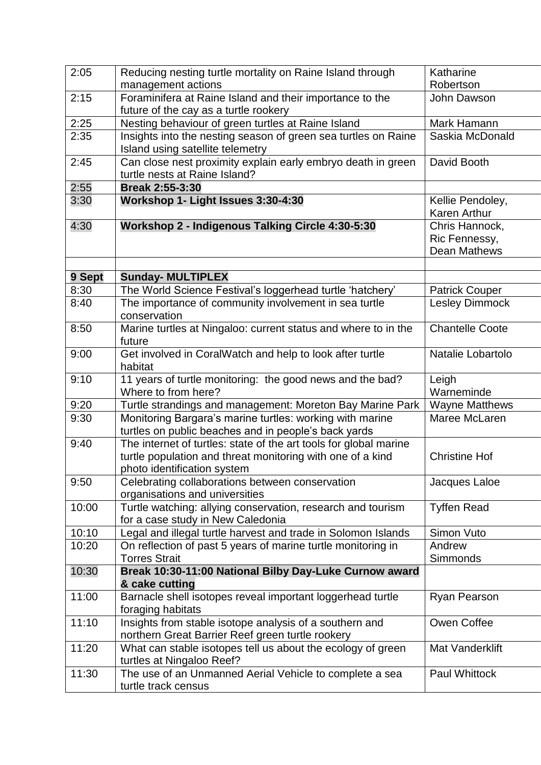| 2:05   | Reducing nesting turtle mortality on Raine Island through           | Katharine              |
|--------|---------------------------------------------------------------------|------------------------|
|        | management actions                                                  | Robertson              |
| 2:15   | Foraminifera at Raine Island and their importance to the            | John Dawson            |
|        | future of the cay as a turtle rookery                               |                        |
| 2:25   | Nesting behaviour of green turtles at Raine Island                  | Mark Hamann            |
| 2:35   | Insights into the nesting season of green sea turtles on Raine      | Saskia McDonald        |
|        | Island using satellite telemetry                                    |                        |
| 2:45   | Can close nest proximity explain early embryo death in green        | David Booth            |
|        | turtle nests at Raine Island?                                       |                        |
| 2:55   | <b>Break 2:55-3:30</b>                                              |                        |
| 3:30   | Workshop 1- Light Issues 3:30-4:30                                  | Kellie Pendoley,       |
|        |                                                                     | Karen Arthur           |
| 4:30   | Workshop 2 - Indigenous Talking Circle 4:30-5:30                    | Chris Hannock,         |
|        |                                                                     | Ric Fennessy,          |
|        |                                                                     | <b>Dean Mathews</b>    |
|        |                                                                     |                        |
| 9 Sept | <b>Sunday- MULTIPLEX</b>                                            |                        |
| 8:30   | The World Science Festival's loggerhead turtle 'hatchery'           | <b>Patrick Couper</b>  |
| 8:40   | The importance of community involvement in sea turtle               | <b>Lesley Dimmock</b>  |
|        | conservation                                                        |                        |
| 8:50   | Marine turtles at Ningaloo: current status and where to in the      | <b>Chantelle Coote</b> |
|        | future                                                              | Natalie Lobartolo      |
| 9:00   | Get involved in CoralWatch and help to look after turtle<br>habitat |                        |
| 9:10   | 11 years of turtle monitoring: the good news and the bad?           | Leigh                  |
|        | Where to from here?                                                 | Warneminde             |
| 9:20   | Turtle strandings and management: Moreton Bay Marine Park           | <b>Wayne Matthews</b>  |
| 9:30   | Monitoring Bargara's marine turtles: working with marine            | Maree McLaren          |
|        | turtles on public beaches and in people's back yards                |                        |
| 9:40   | The internet of turtles: state of the art tools for global marine   |                        |
|        | turtle population and threat monitoring with one of a kind          | <b>Christine Hof</b>   |
|        | photo identification system                                         |                        |
| 9:50   | Celebrating collaborations between conservation                     | Jacques Laloe          |
|        | organisations and universities                                      |                        |
| 10:00  | Turtle watching: allying conservation, research and tourism         | <b>Tyffen Read</b>     |
|        | for a case study in New Caledonia                                   |                        |
| 10:10  | Legal and illegal turtle harvest and trade in Solomon Islands       | Simon Vuto             |
| 10:20  | On reflection of past 5 years of marine turtle monitoring in        | Andrew                 |
|        | <b>Torres Strait</b>                                                | Simmonds               |
| 10:30  | Break 10:30-11:00 National Bilby Day-Luke Curnow award              |                        |
|        | & cake cutting                                                      |                        |
| 11:00  | Barnacle shell isotopes reveal important loggerhead turtle          | <b>Ryan Pearson</b>    |
|        | foraging habitats                                                   |                        |
| 11:10  | Insights from stable isotope analysis of a southern and             | Owen Coffee            |
|        | northern Great Barrier Reef green turtle rookery                    |                        |
| 11:20  | What can stable isotopes tell us about the ecology of green         | Mat Vanderklift        |
|        | turtles at Ningaloo Reef?                                           |                        |
| 11:30  | The use of an Unmanned Aerial Vehicle to complete a sea             | <b>Paul Whittock</b>   |
|        | turtle track census                                                 |                        |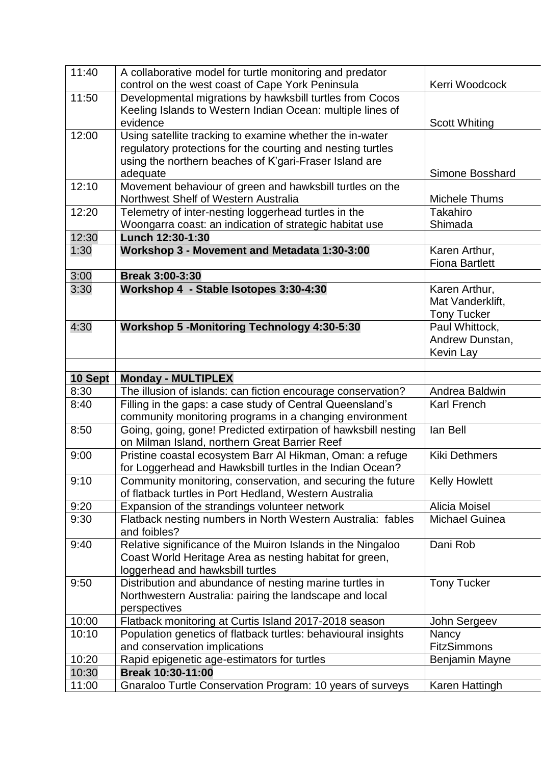| 11:40   | A collaborative model for turtle monitoring and predator                |                       |
|---------|-------------------------------------------------------------------------|-----------------------|
|         | control on the west coast of Cape York Peninsula                        | Kerri Woodcock        |
| 11:50   | Developmental migrations by hawksbill turtles from Cocos                |                       |
|         | Keeling Islands to Western Indian Ocean: multiple lines of              |                       |
|         | evidence                                                                | <b>Scott Whiting</b>  |
| 12:00   | Using satellite tracking to examine whether the in-water                |                       |
|         | regulatory protections for the courting and nesting turtles             |                       |
|         | using the northern beaches of K'gari-Fraser Island are                  |                       |
|         | adequate                                                                | Simone Bosshard       |
| 12:10   | Movement behaviour of green and hawksbill turtles on the                |                       |
|         | Northwest Shelf of Western Australia                                    | <b>Michele Thums</b>  |
| 12:20   | Telemetry of inter-nesting loggerhead turtles in the                    | Takahiro              |
|         | Woongarra coast: an indication of strategic habitat use                 | Shimada               |
| 12:30   | Lunch 12:30-1:30                                                        |                       |
| 1:30    | Workshop 3 - Movement and Metadata 1:30-3:00                            | Karen Arthur,         |
|         |                                                                         | <b>Fiona Bartlett</b> |
| 3:00    | <b>Break 3:00-3:30</b>                                                  |                       |
| 3:30    | Workshop 4 - Stable Isotopes 3:30-4:30                                  | Karen Arthur,         |
|         |                                                                         | Mat Vanderklift,      |
|         |                                                                         | <b>Tony Tucker</b>    |
| 4:30    | Workshop 5 -Monitoring Technology 4:30-5:30                             | Paul Whittock,        |
|         |                                                                         | Andrew Dunstan,       |
|         |                                                                         | Kevin Lay             |
|         |                                                                         |                       |
|         |                                                                         |                       |
| 10 Sept | <b>Monday - MULTIPLEX</b>                                               |                       |
| 8:30    | The illusion of islands: can fiction encourage conservation?            | Andrea Baldwin        |
| 8:40    | Filling in the gaps: a case study of Central Queensland's               | <b>Karl French</b>    |
|         | community monitoring programs in a changing environment                 |                       |
| 8:50    | Going, going, gone! Predicted extirpation of hawksbill nesting          | lan Bell              |
|         | on Milman Island, northern Great Barrier Reef                           |                       |
| 9:00    | Pristine coastal ecosystem Barr Al Hikman, Oman: a refuge               | <b>Kiki Dethmers</b>  |
|         | for Loggerhead and Hawksbill turtles in the Indian Ocean?               |                       |
| 9:10    | Community monitoring, conservation, and securing the future             | <b>Kelly Howlett</b>  |
|         | of flatback turtles in Port Hedland, Western Australia                  |                       |
| 9:20    | Expansion of the strandings volunteer network                           | <b>Alicia Moisel</b>  |
| 9:30    | Flatback nesting numbers in North Western Australia: fables             | <b>Michael Guinea</b> |
|         | and foibles?                                                            |                       |
| 9:40    | Relative significance of the Muiron Islands in the Ningaloo             | Dani Rob              |
|         | Coast World Heritage Area as nesting habitat for green,                 |                       |
|         | loggerhead and hawksbill turtles                                        |                       |
| 9:50    | Distribution and abundance of nesting marine turtles in                 | <b>Tony Tucker</b>    |
|         | Northwestern Australia: pairing the landscape and local<br>perspectives |                       |
| 10:00   | Flatback monitoring at Curtis Island 2017-2018 season                   | John Sergeev          |
| 10:10   | Population genetics of flatback turtles: behavioural insights           | Nancy                 |
|         | and conservation implications                                           | <b>FitzSimmons</b>    |
| 10:20   | Rapid epigenetic age-estimators for turtles                             | Benjamin Mayne        |
| 10:30   | Break 10:30-11:00                                                       |                       |